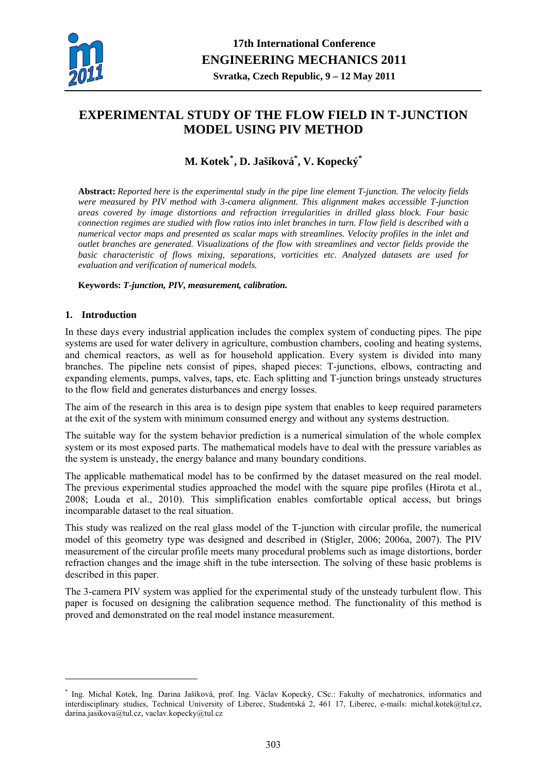

# <span id="page-0-0"></span>**EXPERIMENTAL STUDY OF THE FLOW FIELD IN T-JUNCTION MODEL USING PIV METHOD**

## **M. Kotek[\\*](#page-0-0) , D. Jašíková\* , V. Kopecký\***

**Abstract:** *Reported here is the experimental study in the pipe line element T-junction. The velocity fields were measured by PIV method with 3-camera alignment. This alignment makes accessible T-junction areas covered by image distortions and refraction irregularities in drilled glass block. Four basic connection regimes are studied with flow ratios into inlet branches in turn. Flow field is described with a numerical vector maps and presented as scalar maps with streamlines. Velocity profiles in the inlet and outlet branches are generated. Visualizations of the flow with streamlines and vector fields provide the basic characteristic of flows mixing, separations, vorticities etc. Analyzed datasets are used for evaluation and verification of numerical models.* 

### **Keywords:** *T-junction, PIV, measurement, calibration.*

## **1. Introduction**

1

In these days every industrial application includes the complex system of conducting pipes. The pipe systems are used for water delivery in agriculture, combustion chambers, cooling and heating systems, and chemical reactors, as well as for household application. Every system is divided into many branches. The pipeline nets consist of pipes, shaped pieces: T-junctions, elbows, contracting and expanding elements, pumps, valves, taps, etc. Each splitting and T-junction brings unsteady structures to the flow field and generates disturbances and energy losses.

The aim of the research in this area is to design pipe system that enables to keep required parameters at the exit of the system with minimum consumed energy and without any systems destruction.

The suitable way for the system behavior prediction is a numerical simulation of the whole complex system or its most exposed parts. The mathematical models have to deal with the pressure variables as the system is unsteady, the energy balance and many boundary conditions.

The applicable mathematical model has to be confirmed by the dataset measured on the real model. The previous experimental studies approached the model with the square pipe profiles (Hirota et al., 2008; Louda et al., 2010). This simplification enables comfortable optical access, but brings incomparable dataset to the real situation.

This study was realized on the real glass model of the T-junction with circular profile, the numerical model of this geometry type was designed and described in (Stigler, 2006; 2006a, 2007). The PIV measurement of the circular profile meets many procedural problems such as image distortions, border refraction changes and the image shift in the tube intersection. The solving of these basic problems is described in this paper.

The 3-camera PIV system was applied for the experimental study of the unsteady turbulent flow. This paper is focused on designing the calibration sequence method. The functionality of this method is proved and demonstrated on the real model instance measurement.

<sup>\*</sup> Ing. Michal Kotek, Ing. Darina Jašíková, prof. Ing. Václav Kopecký, CSc.: Fakulty of mechatronics, informatics and interdisciplinary studies, Technical University of Liberec, Studentská 2, 461 17, Liberec, e-mails: michal.kotek@tul.cz, darina.jasikova@tul.cz, vaclav.kopecky@tul.cz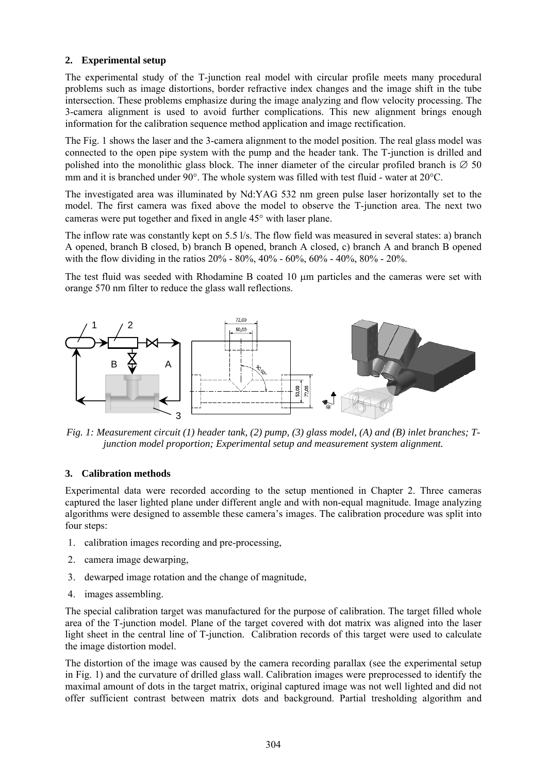## **2. Experimental setup**

The experimental study of the T-junction real model with circular profile meets many procedural problems such as image distortions, border refractive index changes and the image shift in the tube intersection. These problems emphasize during the image analyzing and flow velocity processing. The 3-camera alignment is used to avoid further complications. This new alignment brings enough information for the calibration sequence method application and image rectification.

The Fig. 1 shows the laser and the 3-camera alignment to the model position. The real glass model was connected to the open pipe system with the pump and the header tank. The T-junction is drilled and polished into the monolithic glass block. The inner diameter of the circular profiled branch is  $\varnothing$  50 mm and it is branched under 90°. The whole system was filled with test fluid - water at 20°C.

The investigated area was illuminated by Nd:YAG 532 nm green pulse laser horizontally set to the model. The first camera was fixed above the model to observe the T-junction area. The next two cameras were put together and fixed in angle 45° with laser plane.

The inflow rate was constantly kept on 5.5 l/s. The flow field was measured in several states: a) branch A opened, branch B closed, b) branch B opened, branch A closed, c) branch A and branch B opened with the flow dividing in the ratios 20% - 80%, 40% - 60%, 60% - 40%, 80% - 20%.

The test fluid was seeded with Rhodamine B coated 10 μm particles and the cameras were set with orange 570 nm filter to reduce the glass wall reflections.



*Fig. 1: Measurement circuit (1) header tank, (2) pump, (3) glass model, (A) and (B) inlet branches; Tjunction model proportion; Experimental setup and measurement system alignment.* 

### **3. Calibration methods**

Experimental data were recorded according to the setup mentioned in Chapter 2. Three cameras captured the laser lighted plane under different angle and with non-equal magnitude. Image analyzing algorithms were designed to assemble these camera's images. The calibration procedure was split into four steps:

- 1. calibration images recording and pre-processing,
- 2. camera image dewarping,
- 3. dewarped image rotation and the change of magnitude,
- 4. images assembling.

The special calibration target was manufactured for the purpose of calibration. The target filled whole area of the T-junction model. Plane of the target covered with dot matrix was aligned into the laser light sheet in the central line of T-junction. Calibration records of this target were used to calculate the image distortion model.

The distortion of the image was caused by the camera recording parallax (see the experimental setup in Fig. 1) and the curvature of drilled glass wall. Calibration images were preprocessed to identify the maximal amount of dots in the target matrix, original captured image was not well lighted and did not offer sufficient contrast between matrix dots and background. Partial tresholding algorithm and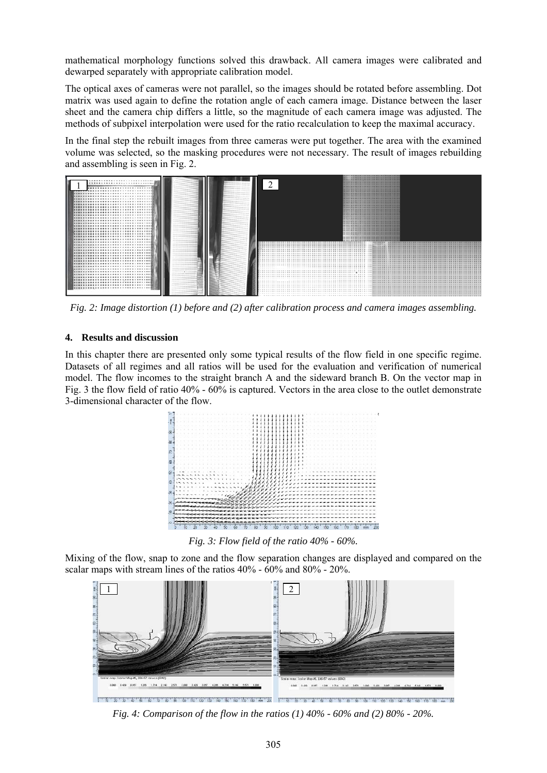mathematical morphology functions solved this drawback. All camera images were calibrated and dewarped separately with appropriate calibration model.

The optical axes of cameras were not parallel, so the images should be rotated before assembling. Dot matrix was used again to define the rotation angle of each camera image. Distance between the laser sheet and the camera chip differs a little, so the magnitude of each camera image was adjusted. The methods of subpixel interpolation were used for the ratio recalculation to keep the maximal accuracy.

In the final step the rebuilt images from three cameras were put together. The area with the examined volume was selected, so the masking procedures were not necessary. The result of images rebuilding and assembling is seen in Fig. 2.



*Fig. 2: Image distortion (1) before and (2) after calibration process and camera images assembling.* 

### **4. Results and discussion**

In this chapter there are presented only some typical results of the flow field in one specific regime. Datasets of all regimes and all ratios will be used for the evaluation and verification of numerical model. The flow incomes to the straight branch A and the sideward branch B. On the vector map in Fig. 3 the flow field of ratio 40% - 60% is captured. Vectors in the area close to the outlet demonstrate 3-dimensional character of the flow.



*Fig. 3: Flow field of the ratio 40% - 60%.* 

Mixing of the flow, snap to zone and the flow separation changes are displayed and compared on the scalar maps with stream lines of the ratios 40% - 60% and 80% - 20%.



*Fig. 4: Comparison of the flow in the ratios (1) 40% - 60% and (2) 80% - 20%.*